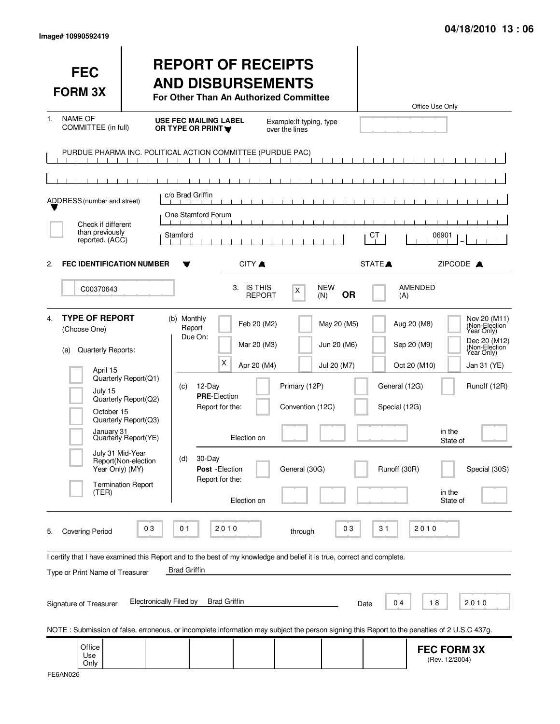| <b>FEC</b><br><b>FORM 3X</b>                                                                                                                                  |                                                                                                                                                                | <b>REPORT OF RECEIPTS</b><br><b>AND DISBURSEMENTS</b><br>For Other Than An Authorized Committee                                                         |                                                                         |                                                    |                                           |                                                | Office Use Only                                                                        |                                                                                                                                             |
|---------------------------------------------------------------------------------------------------------------------------------------------------------------|----------------------------------------------------------------------------------------------------------------------------------------------------------------|---------------------------------------------------------------------------------------------------------------------------------------------------------|-------------------------------------------------------------------------|----------------------------------------------------|-------------------------------------------|------------------------------------------------|----------------------------------------------------------------------------------------|---------------------------------------------------------------------------------------------------------------------------------------------|
| <b>NAME OF</b><br>1.<br>COMMITTEE (in full)                                                                                                                   |                                                                                                                                                                | <b>USE FEC MAILING LABEL</b><br>OR TYPE OR PRINT                                                                                                        |                                                                         | Example: If typing, type<br>over the lines         |                                           |                                                |                                                                                        |                                                                                                                                             |
| ADDRESS (number and street)<br>Check if different<br>than previously<br>reported. (ACC)                                                                       |                                                                                                                                                                | PURDUE PHARMA INC. POLITICAL ACTION COMMITTEE (PURDUE PAC)<br>c/o Brad Griffin<br>One Stamford Forum<br>Stamford                                        | <b>TERMS</b>                                                            |                                                    |                                           | СT                                             | 06901                                                                                  |                                                                                                                                             |
| <b>FEC IDENTIFICATION NUMBER</b><br>2.                                                                                                                        |                                                                                                                                                                | v                                                                                                                                                       | CITY A                                                                  |                                                    |                                           | STATE <sup></sup>                              | ZIPCODE A                                                                              |                                                                                                                                             |
| C00370643                                                                                                                                                     |                                                                                                                                                                |                                                                                                                                                         | <b>IS THIS</b><br>3.<br><b>REPORT</b>                                   | X<br>(N)                                           | <b>NEW</b><br><b>OR</b>                   | (A)                                            | <b>AMENDED</b>                                                                         |                                                                                                                                             |
| <b>TYPE OF REPORT</b><br>4.<br>(Choose One)<br>Quarterly Reports:<br>(a)<br>April 15<br>July 15<br>October 15<br>July 31 Mid-Year<br>Year Only) (MY)<br>(TER) | Quarterly Report(Q1)<br>Quarterly Report(Q2)<br>Quarterly Report(Q3)<br>January 31<br>Quarterly Report(YE)<br>Report(Non-election<br><b>Termination Report</b> | (b) Monthly<br>Report<br>Due On:<br>Х<br>12-Day<br>(C)<br><b>PRE-Election</b><br>Report for the:<br>30-Day<br>(d)<br>Post - Election<br>Report for the: | Feb 20 (M2)<br>Mar 20 (M3)<br>Apr 20 (M4)<br>Election on<br>Election on | Primary (12P)<br>Convention (12C)<br>General (30G) | May 20 (M5)<br>Jun 20 (M6)<br>Jul 20 (M7) | General (12G)<br>Special (12G)<br>Runoff (30R) | Aug 20 (M8)<br>Sep 20 (M9)<br>Oct 20 (M10)<br>in the<br>State of<br>in the<br>State of | Nov 20 (M11)<br>(Non-Election<br>Year Only)<br>Dec 20 (M12)<br>(Non-Election)<br>Year Only)<br>Jan 31 (YE)<br>Runoff (12R)<br>Special (30S) |
| <b>Covering Period</b><br>5.                                                                                                                                  | 03                                                                                                                                                             | 0 <sub>1</sub><br>2010                                                                                                                                  |                                                                         | through                                            | 03                                        | 31                                             | 2010                                                                                   |                                                                                                                                             |
| I certify that I have examined this Report and to the best of my knowledge and belief it is true, correct and complete.<br>Type or Print Name of Treasurer    |                                                                                                                                                                | <b>Brad Griffin</b>                                                                                                                                     |                                                                         |                                                    |                                           |                                                |                                                                                        |                                                                                                                                             |
| Signature of Treasurer                                                                                                                                        | <b>Electronically Filed by</b>                                                                                                                                 | <b>Brad Griffin</b>                                                                                                                                     |                                                                         |                                                    | Date                                      | 04                                             | 18<br>2010                                                                             |                                                                                                                                             |
| NOTE: Submission of false, erroneous, or incomplete information may subject the person signing this Report to the penalties of 2 U.S.C 437g.<br>Office        |                                                                                                                                                                |                                                                                                                                                         |                                                                         |                                                    |                                           |                                                |                                                                                        |                                                                                                                                             |
| Use<br>Only                                                                                                                                                   |                                                                                                                                                                |                                                                                                                                                         |                                                                         |                                                    |                                           |                                                | <b>FEC FORM 3X</b><br>(Rev. 12/2004)                                                   |                                                                                                                                             |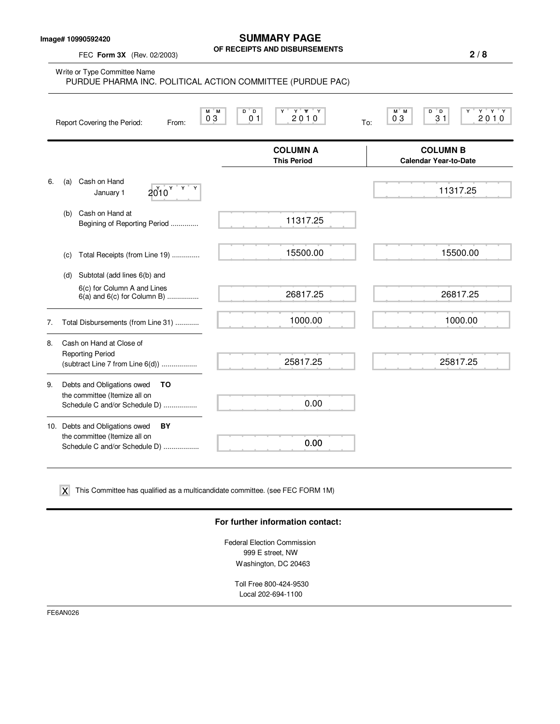**Image# 10990592420**

**SUMMARY PAGE OF RECEIPTS AND DISBURSEMENTS**

FEC **Form 3X** (Rev. 02/2003)

|    | Write or Type Committee Name<br>PURDUE PHARMA INC. POLITICAL ACTION COMMITTEE (PURDUE PAC)             |                                                       |                                                                                                                        |
|----|--------------------------------------------------------------------------------------------------------|-------------------------------------------------------|------------------------------------------------------------------------------------------------------------------------|
|    | M M<br>03<br>Report Covering the Period:<br>From:                                                      | Y Y Y<br>$D^{\prime}D$<br>Y<br>0 <sub>1</sub><br>2010 | $Y$ <sup><math>T</math></sup> $Y$ <sup><math>T</math></sup> $Y$<br>$M^*$ M<br>" D<br>D<br>Y<br>03<br>31<br>2010<br>To: |
|    |                                                                                                        | <b>COLUMN A</b><br><b>This Period</b>                 | <b>COLUMN B</b><br><b>Calendar Year-to-Date</b>                                                                        |
| 6. | Cash on Hand<br>(a)<br>$2010$ $\frac{y}{x}$ $\frac{y}{x}$<br>January 1                                 |                                                       | 11317.25                                                                                                               |
|    | Cash on Hand at<br>(b)<br>Begining of Reporting Period                                                 | 11317.25                                              |                                                                                                                        |
|    | Total Receipts (from Line 19)<br>(C)                                                                   | 15500.00                                              | 15500.00                                                                                                               |
|    | Subtotal (add lines 6(b) and<br>(d)                                                                    |                                                       |                                                                                                                        |
|    | 6(c) for Column A and Lines<br>$6(a)$ and $6(c)$ for Column B)                                         | 26817.25                                              | 26817.25                                                                                                               |
| 7. | Total Disbursements (from Line 31)                                                                     | 1000.00                                               | 1000.00                                                                                                                |
| 8. | Cash on Hand at Close of<br><b>Reporting Period</b><br>(subtract Line 7 from Line 6(d))                | 25817.25                                              | 25817.25                                                                                                               |
| 9. | Debts and Obligations owed<br>ΤO<br>the committee (Itemize all on<br>Schedule C and/or Schedule D)     | 0.00                                                  |                                                                                                                        |
|    | 10. Debts and Obligations owed<br>BY<br>the committee (Itemize all on<br>Schedule C and/or Schedule D) | 0.00                                                  |                                                                                                                        |

 $\boldsymbol{\mathsf{X}}$  This Committee has qualified as a multicandidate committee. (see FEC FORM 1M)

## **For further information contact:**

Federal Election Commission 999 E street, NW Washington, DC 20463

Toll Free 800-424-9530 Local 202-694-1100

FE6AN026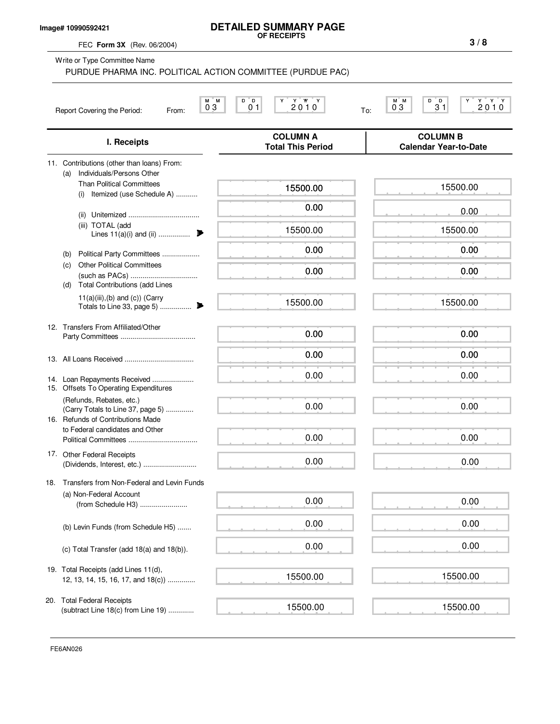|     | Image# 10990592421<br>FEC Form 3X (Rev. 06/2004)                                                                   | <b>DETAILED SUMMARY PAGE</b><br>OF RECEIPTS                        | 3/8                                             |
|-----|--------------------------------------------------------------------------------------------------------------------|--------------------------------------------------------------------|-------------------------------------------------|
|     | Write or Type Committee Name                                                                                       | PURDUE PHARMA INC. POLITICAL ACTION COMMITTEE (PURDUE PAC)         |                                                 |
|     | Report Covering the Period:<br>From:                                                                               | D<br>ΞD.<br>Y W Y<br>М<br>ΓM.<br>Y<br>2010<br>03<br>0 <sub>1</sub> | D<br>D.<br>M M<br>2010<br>31<br>03<br>To:       |
|     | I. Receipts                                                                                                        | <b>COLUMN A</b><br><b>Total This Period</b>                        | <b>COLUMN B</b><br><b>Calendar Year-to-Date</b> |
|     | 11. Contributions (other than loans) From:<br>Individuals/Persons Other<br>(a)<br><b>Than Political Committees</b> | 15500.00                                                           | 15500.00                                        |
|     | (i) Itemized (use Schedule A)                                                                                      | 0.00                                                               | 0.00                                            |
|     | (iii) TOTAL (add<br>Lines $11(a)(i)$ and (ii)                                                                      | 15500.00                                                           | 15500.00                                        |
|     | Political Party Committees<br>(b)<br><b>Other Political Committees</b><br>(c)                                      | 0.00                                                               | 0.00                                            |
|     | <b>Total Contributions (add Lines</b><br>(d)                                                                       | 0.00                                                               | 0.00                                            |
|     | $11(a)(iii),(b)$ and $(c)$ ) (Carry<br>Totals to Line 33, page 5)                                                  | 15500.00<br>▶                                                      | 15500.00                                        |
|     | 12. Transfers From Affiliated/Other                                                                                | 0.00                                                               | 0.00                                            |
|     |                                                                                                                    | 0.00                                                               | 0.00                                            |
|     | 14. Loan Repayments Received<br>15. Offsets To Operating Expenditures                                              | 0.00                                                               | 0.00                                            |
|     | (Refunds, Rebates, etc.)<br>(Carry Totals to Line 37, page 5)<br>16. Refunds of Contributions Made                 | 0.00                                                               | 0.00                                            |
|     | to Federal candidates and Other                                                                                    | 0.00                                                               | 0.00                                            |
|     | 17. Other Federal Receipts                                                                                         | 0.00                                                               | 0.00                                            |
| 18. | Transfers from Non-Federal and Levin Funds<br>(a) Non-Federal Account                                              |                                                                    |                                                 |
|     | (from Schedule H3)                                                                                                 | 0.00<br>0.00                                                       | 0.00<br>0.00                                    |
|     | (b) Levin Funds (from Schedule H5)                                                                                 |                                                                    |                                                 |

(c) Total Transfer (add 18(a) and 18(b)).

19. Total Receipts (add Lines 11(d), 12, 13, 14, 15, 16, 17, and 18(c)) ..............

20. Total Federal Receipts (subtract Line 18(c) from Line 19) .............

0.00 0.00

15500.00

15500.00

15500.00

0.00

15500.00

FE6AN026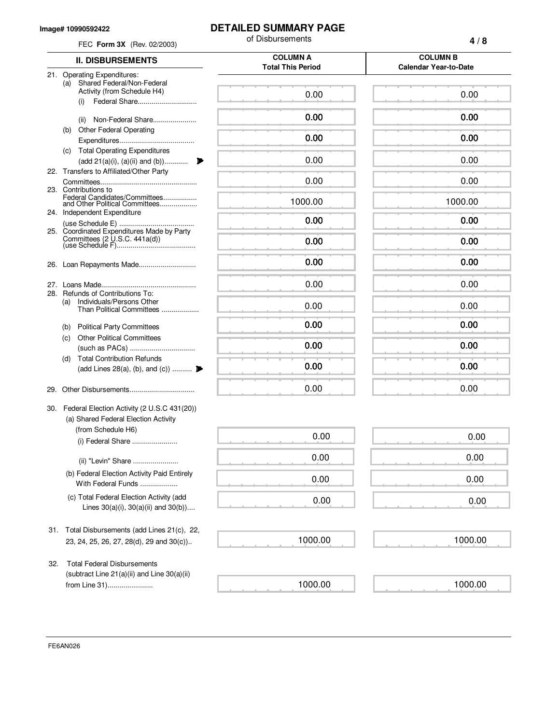## **Image# 10990592422**

## **DETAILED SUMMARY PAGE**

of Disbursements

| FEC Form 3X (Rev. 02/2003) |                                                                                          | ບເ ມາຈນພາຈອເເເອເແຈ                          | 4/8                                             |
|----------------------------|------------------------------------------------------------------------------------------|---------------------------------------------|-------------------------------------------------|
|                            | <b>II. DISBURSEMENTS</b>                                                                 | <b>COLUMN A</b><br><b>Total This Period</b> | <b>COLUMN B</b><br><b>Calendar Year-to-Date</b> |
|                            | 21. Operating Expenditures:                                                              |                                             |                                                 |
|                            | Shared Federal/Non-Federal<br>(a)<br>Activity (from Schedule H4)                         | 0.00                                        | 0.00                                            |
|                            |                                                                                          |                                             |                                                 |
|                            | Non-Federal Share<br>(ii)                                                                | 0.00                                        | 0.00                                            |
|                            | <b>Other Federal Operating</b><br>(b)                                                    | 0.00                                        | 0.00                                            |
|                            | <b>Total Operating Expenditures</b><br>(c)<br>(add 21(a)(i), (a)(ii) and (b))            | 0.00                                        | 0.00                                            |
|                            | 22. Transfers to Affiliated/Other Party                                                  |                                             |                                                 |
|                            |                                                                                          | 0.00                                        | 0.00                                            |
|                            | 23. Contributions to<br>Federal Candidates/Committees<br>and Other Political Committees  | 1000.00                                     | 1000.00                                         |
|                            | 24. Independent Expenditure                                                              | 0.00                                        | 0.00                                            |
|                            | 25. Coordinated Expenditures Made by Party                                               |                                             |                                                 |
|                            |                                                                                          | 0.00                                        | 0.00                                            |
|                            | 26. Loan Repayments Made                                                                 | 0.00                                        | 0.00                                            |
|                            |                                                                                          | 0.00                                        | 0.00                                            |
|                            | 28. Refunds of Contributions To:<br>Individuals/Persons Other<br>(a)                     |                                             |                                                 |
|                            | Than Political Committees                                                                | 0.00                                        | 0.00                                            |
|                            | (b) Political Party Committees                                                           | 0.00                                        | 0.00                                            |
|                            | <b>Other Political Committees</b><br>(C)                                                 | 0.00                                        | 0.00                                            |
|                            | <b>Total Contribution Refunds</b><br>(d)                                                 |                                             |                                                 |
|                            | (add Lines 28(a), (b), and (c))                                                          | 0.00                                        | 0.00                                            |
| 29.                        |                                                                                          | 0.00                                        | 0.00                                            |
|                            | 30. Federal Election Activity (2 U.S.C 431(20))                                          |                                             |                                                 |
|                            | (a) Shared Federal Election Activity                                                     |                                             |                                                 |
|                            | (from Schedule H6)<br>(i) Federal Share                                                  | 0.00                                        | 0.00                                            |
|                            | (ii) "Levin" Share                                                                       | 0.00                                        | 0.00                                            |
|                            | (b) Federal Election Activity Paid Entirely                                              |                                             |                                                 |
|                            | With Federal Funds                                                                       | 0.00                                        | 0.00                                            |
|                            | (c) Total Federal Election Activity (add<br>Lines $30(a)(i)$ , $30(a)(ii)$ and $30(b)$ ) | 0.00                                        | 0.00                                            |
|                            |                                                                                          |                                             |                                                 |
|                            | 31. Total Disbursements (add Lines 21(c), 22,                                            |                                             |                                                 |
|                            | 23, 24, 25, 26, 27, 28(d), 29 and 30(c))                                                 | 1000.00                                     | 1000.00                                         |
| 32.                        | <b>Total Federal Disbursements</b>                                                       |                                             |                                                 |
|                            | (subtract Line $21(a)(ii)$ and Line $30(a)(ii)$                                          |                                             |                                                 |
|                            | from Line 31)                                                                            | 1000.00                                     | 1000.00                                         |

FE6AN026

**4 / 8**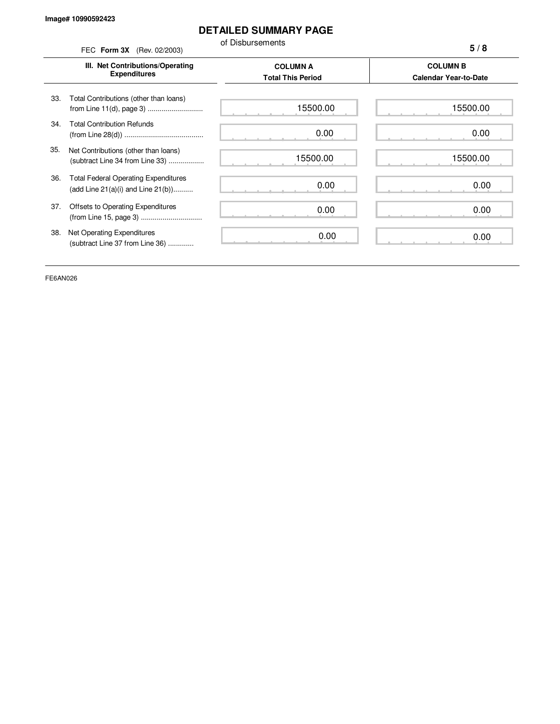## **DETAILED SUMMARY PAGE**

of Disbursements

|     | FEC Form 3X (Rev. 02/2003)                                                             | ol Dispursements                            | 5/8                                             |
|-----|----------------------------------------------------------------------------------------|---------------------------------------------|-------------------------------------------------|
|     | III. Net Contributions/Operating<br><b>Expenditures</b>                                | <b>COLUMN A</b><br><b>Total This Period</b> | <b>COLUMN B</b><br><b>Calendar Year-to-Date</b> |
| 33. | Total Contributions (other than loans)<br>from Line 11(d), page 3)                     | 15500.00                                    | 15500.00                                        |
| 34. | <b>Total Contribution Refunds</b>                                                      | 0.00                                        | 0.00                                            |
| 35. | Net Contributions (other than loans)<br>(subtract Line 34 from Line 33)                | 15500.00                                    | 15500.00                                        |
| 36. | <b>Total Federal Operating Expenditures</b><br>(add Line $21(a)(i)$ and Line $21(b)$ ) | 0.00                                        | 0.00                                            |
| 37. | Offsets to Operating Expenditures                                                      | 0.00                                        | 0.00                                            |
| 38. | Net Operating Expenditures<br>(subtract Line 37 from Line 36)                          | 0.00                                        | 0.00                                            |

FE6AN026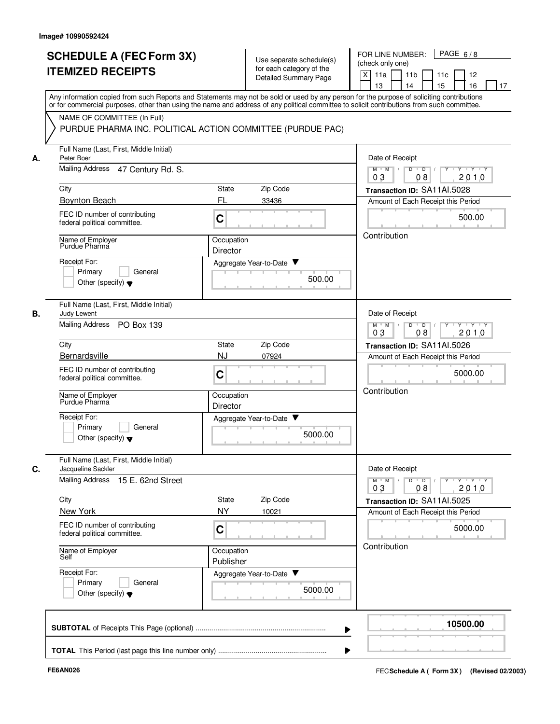|    | <b>SCHEDULE A (FEC Form 3X)</b><br><b>ITEMIZED RECEIPTS</b>                                                                                                                                                                                                                                                            | Use separate schedule(s)<br>for each category of the<br><b>Detailed Summary Page</b> | PAGE $6/8$<br>FOR LINE NUMBER:<br>(check only one)<br>X<br>11a<br>11 <sub>b</sub><br>11c<br>12<br>15<br>13<br>14<br>16<br>17 |
|----|------------------------------------------------------------------------------------------------------------------------------------------------------------------------------------------------------------------------------------------------------------------------------------------------------------------------|--------------------------------------------------------------------------------------|------------------------------------------------------------------------------------------------------------------------------|
|    | Any information copied from such Reports and Statements may not be sold or used by any person for the purpose of soliciting contributions<br>or for commercial purposes, other than using the name and address of any political committee to solicit contributions from such committee.<br>NAME OF COMMITTEE (In Full) |                                                                                      |                                                                                                                              |
|    |                                                                                                                                                                                                                                                                                                                        | PURDUE PHARMA INC. POLITICAL ACTION COMMITTEE (PURDUE PAC)                           |                                                                                                                              |
| А. | Full Name (Last, First, Middle Initial)<br>Peter Boer                                                                                                                                                                                                                                                                  |                                                                                      | Date of Receipt                                                                                                              |
|    | Mailing Address 47 Century Rd. S.                                                                                                                                                                                                                                                                                      |                                                                                      | $M$ $M$ /<br>D<br>$\overline{D}$ /<br>Y 'Y 'Y<br>2010<br>03<br>08                                                            |
|    | City                                                                                                                                                                                                                                                                                                                   | Zip Code<br>State                                                                    | Transaction ID: SA11AI.5028                                                                                                  |
|    | <b>Boynton Beach</b><br>FEC ID number of contributing<br>federal political committee.                                                                                                                                                                                                                                  | FL<br>33436<br>C                                                                     | Amount of Each Receipt this Period<br>500.00                                                                                 |
|    | Name of Employer<br>Purdue Pharma                                                                                                                                                                                                                                                                                      | Occupation<br>Director                                                               | Contribution                                                                                                                 |
|    | Receipt For:<br>Primary<br>General<br>Other (specify) $\blacktriangledown$                                                                                                                                                                                                                                             | Aggregate Year-to-Date ▼<br>500.00                                                   |                                                                                                                              |
| В. | Full Name (Last, First, Middle Initial)<br>Judy Lewent<br>Mailing Address<br>PO Box 139                                                                                                                                                                                                                                |                                                                                      | Date of Receipt<br>D<br>$\overline{D}$<br>$Y - Y - Y$<br>$M$ $M$                                                             |
|    | City                                                                                                                                                                                                                                                                                                                   | Zip Code<br>State                                                                    | 03<br>2010<br>08                                                                                                             |
|    | Bernardsville                                                                                                                                                                                                                                                                                                          | <b>NJ</b><br>07924                                                                   | Transaction ID: SA11AI.5026<br>Amount of Each Receipt this Period                                                            |
|    | FEC ID number of contributing<br>federal political committee.                                                                                                                                                                                                                                                          | C                                                                                    | 5000.00                                                                                                                      |
|    | Name of Employer<br>Purdue Pharma                                                                                                                                                                                                                                                                                      | Occupation<br>Director                                                               | Contribution                                                                                                                 |
|    | Receipt For:<br>Primary<br>General<br>Other (specify) $\blacktriangledown$                                                                                                                                                                                                                                             | Aggregate Year-to-Date<br>5000.00                                                    |                                                                                                                              |
| C. | Full Name (Last, First, Middle Initial)<br>Jacqueline Sackler                                                                                                                                                                                                                                                          |                                                                                      | Date of Receipt                                                                                                              |
|    | Mailing Address 15 E. 62nd Street                                                                                                                                                                                                                                                                                      |                                                                                      | $Y$ $Y$ $Y$<br>$\overline{D}$<br>Y<br>$M$ $M$<br>D<br>03<br>2010<br>08                                                       |
|    | City<br>New York                                                                                                                                                                                                                                                                                                       | Zip Code<br>State<br><b>NY</b><br>10021                                              | Transaction ID: SA11Al.5025<br>Amount of Each Receipt this Period                                                            |
|    | FEC ID number of contributing<br>federal political committee.                                                                                                                                                                                                                                                          | C                                                                                    | 5000.00                                                                                                                      |
|    | Name of Employer<br>Self                                                                                                                                                                                                                                                                                               | Occupation<br>Publisher                                                              | Contribution                                                                                                                 |
|    | Receipt For:<br>Primary<br>General<br>Other (specify) $\blacktriangledown$                                                                                                                                                                                                                                             | Aggregate Year-to-Date<br>5000.00                                                    |                                                                                                                              |
|    |                                                                                                                                                                                                                                                                                                                        |                                                                                      | 10500.00                                                                                                                     |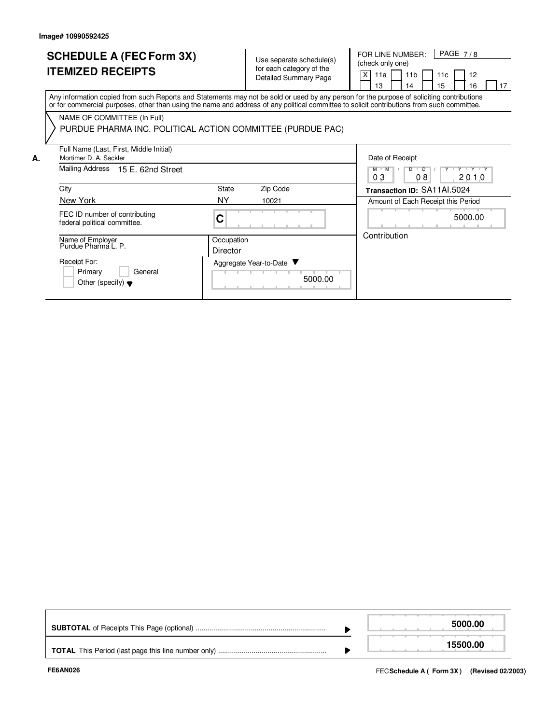**A.**

| <b>SCHEDULE A (FEC Form 3X)</b> |  |
|---------------------------------|--|
| <b>ITEMIZED RECEIPTS</b>        |  |

Use separate schedule(s) (check only one)<br>for each category of the content of the Detailed Summary Page

FOR LINE NUMBER: PAGE 7/8

X|11a | |11b | |11c | |12

|                                                                                                                                                                                                                                                                                         |                        |                        |         | 13                          | 14                                 | 15 | 16                | 17 |
|-----------------------------------------------------------------------------------------------------------------------------------------------------------------------------------------------------------------------------------------------------------------------------------------|------------------------|------------------------|---------|-----------------------------|------------------------------------|----|-------------------|----|
| Any information copied from such Reports and Statements may not be sold or used by any person for the purpose of soliciting contributions<br>or for commercial purposes, other than using the name and address of any political committee to solicit contributions from such committee. |                        |                        |         |                             |                                    |    |                   |    |
| NAME OF COMMITTEE (In Full)<br>PURDUE PHARMA INC. POLITICAL ACTION COMMITTEE (PURDUE PAC)                                                                                                                                                                                               |                        |                        |         |                             |                                    |    |                   |    |
| Full Name (Last, First, Middle Initial)<br>Mortimer D. A. Sackler                                                                                                                                                                                                                       |                        |                        |         | Date of Receipt             |                                    |    |                   |    |
| Mailing Address 15 E. 62nd Street                                                                                                                                                                                                                                                       |                        |                        |         | $M$ $M$<br>03               | $D \cup D$<br>08                   |    | Y Y Y Y Y<br>2010 |    |
| City                                                                                                                                                                                                                                                                                    | State                  | Zip Code               |         | Transaction ID: SA11AI.5024 |                                    |    |                   |    |
| New York                                                                                                                                                                                                                                                                                | NY                     | 10021                  |         |                             | Amount of Each Receipt this Period |    |                   |    |
| FEC ID number of contributing<br>federal political committee.                                                                                                                                                                                                                           | C                      |                        |         |                             |                                    |    | 5000.00           |    |
| Name of Employer<br>Purdue Pharma L. P.                                                                                                                                                                                                                                                 | Occupation<br>Director |                        |         | Contribution                |                                    |    |                   |    |
| Receipt For:<br>Primary<br>General<br>Other (specify) $\blacktriangledown$                                                                                                                                                                                                              |                        | Aggregate Year-to-Date | 5000.00 |                             |                                    |    |                   |    |

|  | 5000.00  |
|--|----------|
|  | 15500.00 |